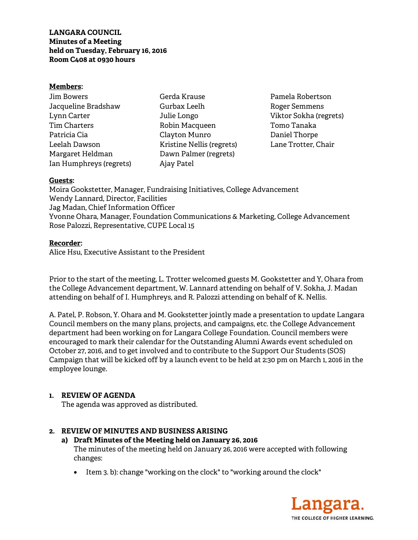#### **Members:**

| Jim Bowers              |
|-------------------------|
| Jacqueline Bradshaw     |
| Lynn Carter             |
| <b>Tim Charters</b>     |
| Patricia Cia            |
| Leelah Dawson           |
| Margaret Heldman        |
| Ian Humphreys (regrets) |

Gerda Krause Gurbax Leelh Julie Longo Robin Macqueen Clayton Munro Kristine Nellis (regrets) Dawn Palmer (regrets) Ajay Patel

Pamela Robertson Roger Semmens Viktor Sokha (regrets) Tomo Tanaka Daniel Thorpe Lane Trotter, Chair

### **Guests:**

Moira Gookstetter, Manager, Fundraising Initiatives, College Advancement Wendy Lannard, Director, Facilities Jag Madan, Chief Information Officer Yvonne Ohara, Manager, Foundation Communications & Marketing, College Advancement Rose Palozzi, Representative, CUPE Local 15

### **Recorder:**

Alice Hsu, Executive Assistant to the President

Prior to the start of the meeting, L. Trotter welcomed guests M. Gookstetter and Y, Ohara from the College Advancement department, W. Lannard attending on behalf of V. Sokha, J. Madan attending on behalf of I. Humphreys, and R. Palozzi attending on behalf of K. Nellis.

A. Patel, P. Robson, Y. Ohara and M. Gookstetter jointly made a presentation to update Langara Council members on the many plans, projects, and campaigns, etc. the College Advancement department had been working on for Langara College Foundation. Council members were encouraged to mark their calendar for the Outstanding Alumni Awards event scheduled on October 27, 2016, and to get involved and to contribute to the Support Our Students (SOS) Campaign that will be kicked off by a launch event to be held at 2:30 pm on March 1, 2016 in the employee lounge.

# **1. REVIEW OF AGENDA**

The agenda was approved as distributed.

# **2. REVIEW OF MINUTES AND BUSINESS ARISING**

#### **a) Draft Minutes of the Meeting held on January 26, 2016**  The minutes of the meeting held on January 26, 2016 were accepted with following changes:

• Item 3. b): change "working on the clock" to "working around the clock"

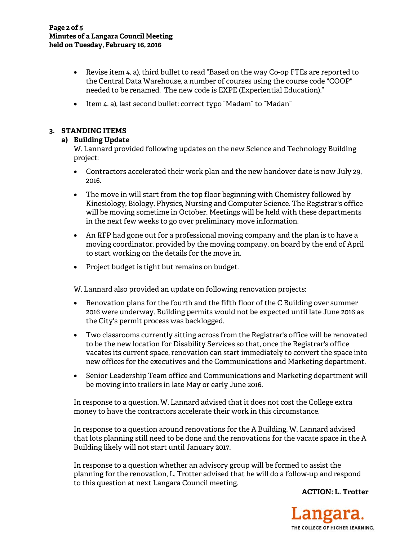- Revise item 4. a), third bullet to read "Based on the way Co-op FTEs are reported to the Central Data Warehouse, a number of courses using the course code "COOP" needed to be renamed. The new code is EXPE (Experiential Education)."
- Item 4. a), last second bullet: correct typo "Madam" to "Madan"

# **3. STANDING ITEMS**

# **a) Building Update**

W. Lannard provided following updates on the new Science and Technology Building project:

- Contractors accelerated their work plan and the new handover date is now July 29, 2016.
- The move in will start from the top floor beginning with Chemistry followed by Kinesiology, Biology, Physics, Nursing and Computer Science. The Registrar's office will be moving sometime in October. Meetings will be held with these departments in the next few weeks to go over preliminary move information.
- An RFP had gone out for a professional moving company and the plan is to have a moving coordinator, provided by the moving company, on board by the end of April to start working on the details for the move in.
- Project budget is tight but remains on budget.

W. Lannard also provided an update on following renovation projects:

- Renovation plans for the fourth and the fifth floor of the C Building over summer 2016 were underway. Building permits would not be expected until late June 2016 as the City's permit process was backlogged.
- Two classrooms currently sitting across from the Registrar's office will be renovated to be the new location for Disability Services so that, once the Registrar's office vacates its current space, renovation can start immediately to convert the space into new offices for the executives and the Communications and Marketing department.
- Senior Leadership Team office and Communications and Marketing department will be moving into trailers in late May or early June 2016.

In response to a question, W. Lannard advised that it does not cost the College extra money to have the contractors accelerate their work in this circumstance.

In response to a question around renovations for the A Building, W. Lannard advised that lots planning still need to be done and the renovations for the vacate space in the A Building likely will not start until January 2017.

In response to a question whether an advisory group will be formed to assist the planning for the renovation, L. Trotter advised that he will do a follow-up and respond to this question at next Langara Council meeting.

**ACTION: L. Trotter** 

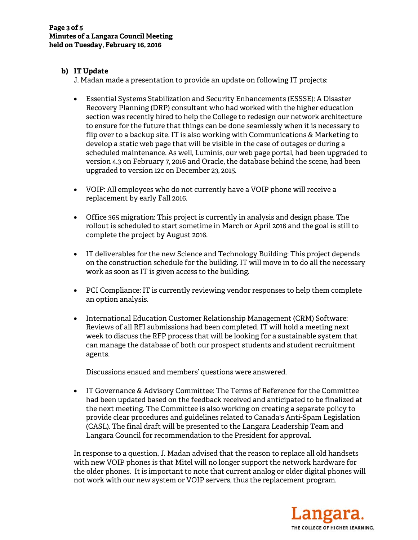# **b) IT Update**

J. Madan made a presentation to provide an update on following IT projects:

- Essential Systems Stabilization and Security Enhancements (ESSSE): A Disaster Recovery Planning (DRP) consultant who had worked with the higher education section was recently hired to help the College to redesign our network architecture to ensure for the future that things can be done seamlessly when it is necessary to flip over to a backup site. IT is also working with Communications & Marketing to develop a static web page that will be visible in the case of outages or during a scheduled maintenance. As well, Luminis, our web page portal, had been upgraded to version 4.3 on February 7, 2016 and Oracle, the database behind the scene, had been upgraded to version 12c on December 23, 2015.
- VOIP: All employees who do not currently have a VOIP phone will receive a replacement by early Fall 2016.
- Office 365 migration: This project is currently in analysis and design phase. The rollout is scheduled to start sometime in March or April 2016 and the goal is still to complete the project by August 2016.
- IT deliverables for the new Science and Technology Building: This project depends on the construction schedule for the building. IT will move in to do all the necessary work as soon as IT is given access to the building.
- PCI Compliance: IT is currently reviewing vendor responses to help them complete an option analysis.
- International Education Customer Relationship Management (CRM) Software: Reviews of all RFI submissions had been completed. IT will hold a meeting next week to discuss the RFP process that will be looking for a sustainable system that can manage the database of both our prospect students and student recruitment agents.

Discussions ensued and members' questions were answered.

• IT Governance & Advisory Committee: The Terms of Reference for the Committee had been updated based on the feedback received and anticipated to be finalized at the next meeting. The Committee is also working on creating a separate policy to provide clear procedures and guidelines related to Canada's Anti-Spam Legislation (CASL). The final draft will be presented to the Langara Leadership Team and Langara Council for recommendation to the President for approval.

In response to a question, J. Madan advised that the reason to replace all old handsets with new VOIP phones is that Mitel will no longer support the network hardware for the older phones. It is important to note that current analog or older digital phones will not work with our new system or VOIP servers, thus the replacement program.

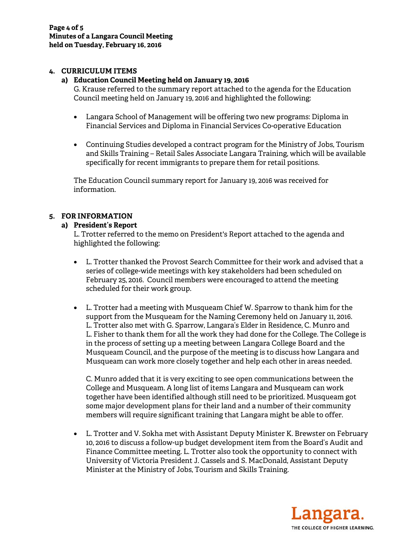## **4. CURRICULUM ITEMS**

#### **a) Education Council Meeting held on January 19, 2016**

G. Krause referred to the summary report attached to the agenda for the Education Council meeting held on January 19, 2016 and highlighted the following:

- Langara School of Management will be offering two new programs: Diploma in Financial Services and Diploma in Financial Services Co-operative Education
- Continuing Studies developed a contract program for the Ministry of Jobs, Tourism and Skills Training – Retail Sales Associate Langara Training, which will be available specifically for recent immigrants to prepare them for retail positions.

The Education Council summary report for January 19, 2016 was received for information.

### **5. FOR INFORMATION**

### **a) President's Report**

L. Trotter referred to the memo on President's Report attached to the agenda and highlighted the following:

- L. Trotter thanked the Provost Search Committee for their work and advised that a series of college-wide meetings with key stakeholders had been scheduled on February 25, 2016. Council members were encouraged to attend the meeting scheduled for their work group.
- L. Trotter had a meeting with Musqueam Chief W. Sparrow to thank him for the support from the Musqueam for the Naming Ceremony held on January 11, 2016. L. Trotter also met with G. Sparrow, Langara's Elder in Residence, C. Munro and L. Fisher to thank them for all the work they had done for the College. The College is in the process of setting up a meeting between Langara College Board and the Musqueam Council, and the purpose of the meeting is to discuss how Langara and Musqueam can work more closely together and help each other in areas needed.

C. Munro added that it is very exciting to see open communications between the College and Musqueam. A long list of items Langara and Musqueam can work together have been identified although still need to be prioritized. Musqueam got some major development plans for their land and a number of their community members will require significant training that Langara might be able to offer.

• L. Trotter and V. Sokha met with Assistant Deputy Minister K. Brewster on February 10, 2016 to discuss a follow-up budget development item from the Board's Audit and Finance Committee meeting. L. Trotter also took the opportunity to connect with University of Victoria President J. Cassels and S. MacDonald, Assistant Deputy Minister at the Ministry of Jobs, Tourism and Skills Training.